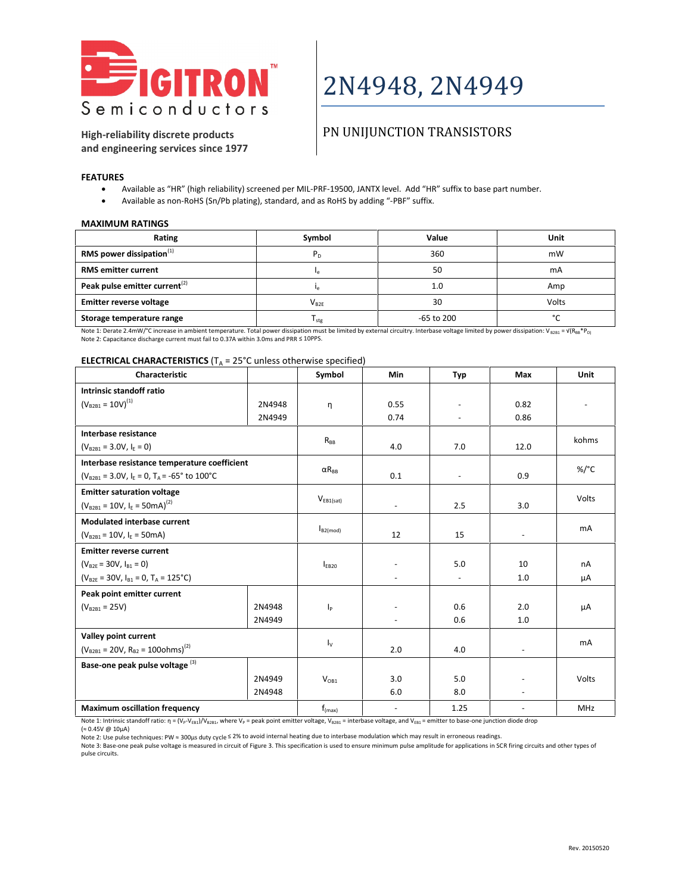

## 2N4948, 2N4949

### **High-reliability discrete products and engineering services since 1977**

## PN UNIJUNCTION TRANSISTORS

**FEATURES**

- Available as "HR" (high reliability) screened per MIL-PRF-19500, JANTX level. Add "HR" suffix to base part number.
- Available as non-RoHS (Sn/Pb plating), standard, and as RoHS by adding "-PBF" suffix.

#### **MAXIMUM RATINGS**

| Rating                                    | Symbol         | Value        | Unit   |
|-------------------------------------------|----------------|--------------|--------|
| RMS power dissipation $(1)$               | P <sub>D</sub> | 360          | mW     |
| <b>RMS</b> emitter current                |                | 50           | mA     |
| Peak pulse emitter current <sup>(2)</sup> |                | 1.0          | Amp    |
| <b>Emitter reverse voltage</b>            | $V_{B2E}$      | 30           | Volts  |
| Storage temperature range                 | $I_{stg}$      | $-65$ to 200 | $\sim$ |

Note 1: Derate 2.4mW/°C increase in ambient temperature. Total power dissipation must be limited by external circuitry. Interbase voltage limited by power dissipation: V<sub>B2B1</sub> = V(R<sub>BB</sub>\*P<sub>D)</sub> Note 2: Capacitance discharge current must fail to 0.37A within 3.0ms and PRR ≤ 10PPS.

#### **ELECTRICAL CHARACTERISTICS** ( $T_A$  = 25°C unless otherwise specified)

| Characteristic                                          |        | Symbol                  | <b>Min</b>               | Typ            | Max                      | <b>Unit</b> |
|---------------------------------------------------------|--------|-------------------------|--------------------------|----------------|--------------------------|-------------|
| Intrinsic standoff ratio                                |        |                         |                          |                |                          |             |
| $(V_{B2B1} = 10V)^{(1)}$                                | 2N4948 | η                       | 0.55                     |                | 0.82                     |             |
|                                                         | 2N4949 |                         | 0.74                     |                | 0.86                     |             |
| Interbase resistance                                    |        |                         |                          |                |                          | kohms       |
| $(V_{B2B1} = 3.0V, I_F = 0)$                            |        | $R_{BB}$                | 4.0                      | 7.0            | 12.0                     |             |
| Interbase resistance temperature coefficient            |        |                         |                          |                |                          |             |
| $(V_{B2B1} = 3.0V, I_F = 0, T_A = -65^{\circ}$ to 100°C |        | $\alpha R_{\rm BB}$     | 0.1                      | $\blacksquare$ | 0.9                      | %/°C        |
| <b>Emitter saturation voltage</b>                       |        |                         |                          |                |                          |             |
| $(V_{B2B1} = 10V, I_E = 50mA)^{(2)}$                    |        | $V_{EB1(sat)}$          | $\overline{\phantom{a}}$ | 2.5            | 3.0                      | Volts       |
| <b>Modulated interbase current</b>                      |        |                         |                          |                |                          |             |
| $(V_{B2B1} = 10V, I_F = 50mA)$                          |        | $I_{B2 (mod)}$          | 12                       | 15             | $\overline{\phantom{a}}$ | mA          |
| <b>Emitter reverse current</b>                          |        |                         |                          |                |                          |             |
| $(V_{B2E} = 30V, I_{B1} = 0)$                           |        | $I_{EB20}$              | $\overline{a}$           | 5.0            | 10                       | nA          |
| $(V_{B2F} = 30V, I_{B1} = 0, T_A = 125^{\circ}C)$       |        |                         | $\blacksquare$           |                | 1.0                      | μA          |
| Peak point emitter current                              |        |                         |                          |                |                          |             |
| $(V_{B2B1} = 25V)$                                      | 2N4948 | $\mathsf{I}_\mathsf{P}$ |                          | 0.6            | 2.0                      | μA          |
|                                                         | 2N4949 |                         | $\overline{\phantom{a}}$ | 0.6            | 1.0                      |             |
| Valley point current                                    |        |                         |                          |                |                          | mA          |
| $(V_{B2B1} = 20V, R_{B2} = 1000hms)^{(2)}$              |        | $I_{\rm V}$             | 2.0                      | 4.0            | $\blacksquare$           |             |
| Base-one peak pulse voltage <sup>(3)</sup>              |        |                         |                          |                |                          |             |
|                                                         | 2N4949 | $V_{OR1}$               | 3.0                      | 5.0            |                          | Volts       |
|                                                         | 2N4948 |                         | 6.0                      | 8.0            | $\overline{a}$           |             |
| <b>Maximum oscillation frequency</b>                    |        | $f_{(max)}$             | $\overline{\phantom{a}}$ | 1.25           | $\overline{\phantom{a}}$ | <b>MHz</b>  |

Note 1: Intrinsic standoff ratio:  $\eta = (V_p - V_{EB1})/V_{B2B1}$ , where  $V_p$  = peak point emitter voltage,  $V_{B2B1}$  = interbase voltage, and  $V_{EB1}$  = emitter to base-one junction diode drop (≈ 0.45V @ 10µA)

Note 2: Use pulse techniques: PW ≈ 300µs duty cycle ≤ 2% to avoid internal heating due to interbase modulation which may result in erroneous readings.

Note 3: Base-one peak pulse voltage is measured in circuit of Figure 3. This specification is used to ensure minimum pulse amplitude for applications in SCR firing circuits and other types of pulse circuits.